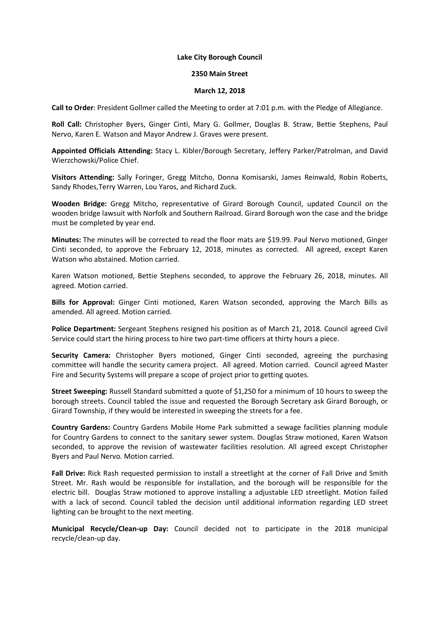## **Lake City Borough Council**

## **2350 Main Street**

## **March 12, 2018**

**Call to Order**: President Gollmer called the Meeting to order at 7:01 p.m. with the Pledge of Allegiance.

**Roll Call:** Christopher Byers, Ginger Cinti, Mary G. Gollmer, Douglas B. Straw, Bettie Stephens, Paul Nervo, Karen E. Watson and Mayor Andrew J. Graves were present.

**Appointed Officials Attending:** Stacy L. Kibler/Borough Secretary, Jeffery Parker/Patrolman, and David Wierzchowski/Police Chief.

**Visitors Attending:** Sally Foringer, Gregg Mitcho, Donna Komisarski, James Reinwald, Robin Roberts, Sandy Rhodes,Terry Warren, Lou Yaros, and Richard Zuck.

**Wooden Bridge:** Gregg Mitcho, representative of Girard Borough Council, updated Council on the wooden bridge lawsuit with Norfolk and Southern Railroad. Girard Borough won the case and the bridge must be completed by year end.

**Minutes:** The minutes will be corrected to read the floor mats are \$19.99. Paul Nervo motioned, Ginger Cinti seconded, to approve the February 12, 2018, minutes as corrected. All agreed, except Karen Watson who abstained. Motion carried.

Karen Watson motioned, Bettie Stephens seconded, to approve the February 26, 2018, minutes. All agreed. Motion carried.

**Bills for Approval:** Ginger Cinti motioned, Karen Watson seconded, approving the March Bills as amended. All agreed. Motion carried.

**Police Department:** Sergeant Stephens resigned his position as of March 21, 2018. Council agreed Civil Service could start the hiring process to hire two part-time officers at thirty hours a piece.

**Security Camera:** Christopher Byers motioned, Ginger Cinti seconded, agreeing the purchasing committee will handle the security camera project. All agreed. Motion carried. Council agreed Master Fire and Security Systems will prepare a scope of project prior to getting quotes.

**Street Sweeping:** Russell Standard submitted a quote of \$1,250 for a minimum of 10 hours to sweep the borough streets. Council tabled the issue and requested the Borough Secretary ask Girard Borough, or Girard Township, if they would be interested in sweeping the streets for a fee.

**Country Gardens:** Country Gardens Mobile Home Park submitted a sewage facilities planning module for Country Gardens to connect to the sanitary sewer system. Douglas Straw motioned, Karen Watson seconded, to approve the revision of wastewater facilities resolution. All agreed except Christopher Byers and Paul Nervo. Motion carried.

**Fall Drive:** Rick Rash requested permission to install a streetlight at the corner of Fall Drive and Smith Street. Mr. Rash would be responsible for installation, and the borough will be responsible for the electric bill. Douglas Straw motioned to approve installing a adjustable LED streetlight. Motion failed with a lack of second. Council tabled the decision until additional information regarding LED street lighting can be brought to the next meeting.

**Municipal Recycle/Clean-up Day:** Council decided not to participate in the 2018 municipal recycle/clean-up day.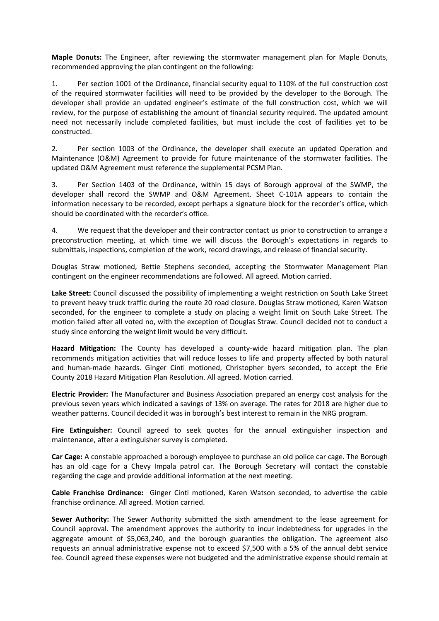**Maple Donuts:** The Engineer, after reviewing the stormwater management plan for Maple Donuts, recommended approving the plan contingent on the following:

1. Per section 1001 of the Ordinance, financial security equal to 110% of the full construction cost of the required stormwater facilities will need to be provided by the developer to the Borough. The developer shall provide an updated engineer's estimate of the full construction cost, which we will review, for the purpose of establishing the amount of financial security required. The updated amount need not necessarily include completed facilities, but must include the cost of facilities yet to be constructed.

2. Per section 1003 of the Ordinance, the developer shall execute an updated Operation and Maintenance (O&M) Agreement to provide for future maintenance of the stormwater facilities. The updated O&M Agreement must reference the supplemental PCSM Plan.

3. Per Section 1403 of the Ordinance, within 15 days of Borough approval of the SWMP, the developer shall record the SWMP and O&M Agreement. Sheet C-101A appears to contain the information necessary to be recorded, except perhaps a signature block for the recorder's office, which should be coordinated with the recorder's office.

4. We request that the developer and their contractor contact us prior to construction to arrange a preconstruction meeting, at which time we will discuss the Borough's expectations in regards to submittals, inspections, completion of the work, record drawings, and release of financial security.

Douglas Straw motioned, Bettie Stephens seconded, accepting the Stormwater Management Plan contingent on the engineer recommendations are followed. All agreed. Motion carried.

**Lake Street:** Council discussed the possibility of implementing a weight restriction on South Lake Street to prevent heavy truck traffic during the route 20 road closure. Douglas Straw motioned, Karen Watson seconded, for the engineer to complete a study on placing a weight limit on South Lake Street. The motion failed after all voted no, with the exception of Douglas Straw. Council decided not to conduct a study since enforcing the weight limit would be very difficult.

**Hazard Mitigation:** The County has developed a county-wide hazard mitigation plan. The plan recommends mitigation activities that will reduce losses to life and property affected by both natural and human-made hazards. Ginger Cinti motioned, Christopher byers seconded, to accept the Erie County 2018 Hazard Mitigation Plan Resolution. All agreed. Motion carried.

**Electric Provider:** The Manufacturer and Business Association prepared an energy cost analysis for the previous seven years which indicated a savings of 13% on average. The rates for 2018 are higher due to weather patterns. Council decided it was in borough's best interest to remain in the NRG program.

**Fire Extinguisher:** Council agreed to seek quotes for the annual extinguisher inspection and maintenance, after a extinguisher survey is completed.

**Car Cage:** A constable approached a borough employee to purchase an old police car cage. The Borough has an old cage for a Chevy Impala patrol car. The Borough Secretary will contact the constable regarding the cage and provide additional information at the next meeting.

**Cable Franchise Ordinance:** Ginger Cinti motioned, Karen Watson seconded, to advertise the cable franchise ordinance. All agreed. Motion carried.

**Sewer Authority:** The Sewer Authority submitted the sixth amendment to the lease agreement for Council approval. The amendment approves the authority to incur indebtedness for upgrades in the aggregate amount of \$5,063,240, and the borough guaranties the obligation. The agreement also requests an annual administrative expense not to exceed \$7,500 with a 5% of the annual debt service fee. Council agreed these expenses were not budgeted and the administrative expense should remain at